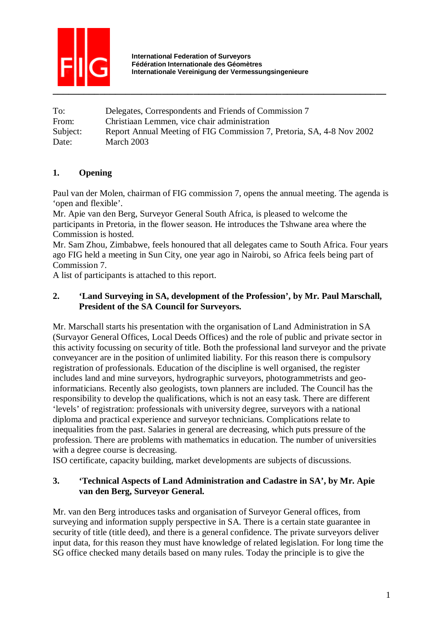

To: Delegates, Correspondents and Friends of Commission 7 From: Christiaan Lemmen, vice chair administration Subject: Report Annual Meeting of FIG Commission 7, Pretoria, SA, 4-8 Nov 2002 Date: March 2003

## **1. Opening**

Paul van der Molen, chairman of FIG commission 7, opens the annual meeting. The agenda is 'open and flexible'.

Mr. Apie van den Berg, Surveyor General South Africa, is pleased to welcome the participants in Pretoria, in the flower season. He introduces the Tshwane area where the Commission is hosted.

Mr. Sam Zhou, Zimbabwe, feels honoured that all delegates came to South Africa. Four years ago FIG held a meeting in Sun City, one year ago in Nairobi, so Africa feels being part of Commission 7.

A list of participants is attached to this report.

#### **2. 'Land Surveying in SA, development of the Profession', by Mr. Paul Marschall, President of the SA Council for Surveyors.**

Mr. Marschall starts his presentation with the organisation of Land Administration in SA (Survayor General Offices, Local Deeds Offices) and the role of public and private sector in this activity focussing on security of title. Both the professional land surveyor and the private conveyancer are in the position of unlimited liability. For this reason there is compulsory registration of professionals. Education of the discipline is well organised, the register includes land and mine surveyors, hydrographic surveyors, photogrammetrists and geoinformaticians. Recently also geologists, town planners are included. The Council has the responsibility to develop the qualifications, which is not an easy task. There are different 'levels' of registration: professionals with university degree, surveyors with a national diploma and practical experience and surveyor technicians. Complications relate to inequalities from the past. Salaries in general are decreasing, which puts pressure of the profession. There are problems with mathematics in education. The number of universities with a degree course is decreasing.

ISO certificate, capacity building, market developments are subjects of discussions.

#### **3. 'Technical Aspects of Land Administration and Cadastre in SA', by Mr. Apie van den Berg, Surveyor General.**

Mr. van den Berg introduces tasks and organisation of Surveyor General offices, from surveying and information supply perspective in SA. There is a certain state guarantee in security of title (title deed), and there is a general confidence. The private surveyors deliver input data, for this reason they must have knowledge of related legislation. For long time the SG office checked many details based on many rules. Today the principle is to give the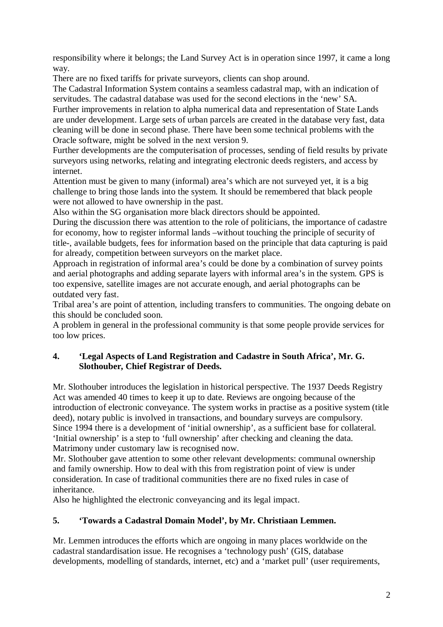responsibility where it belongs; the Land Survey Act is in operation since 1997, it came a long way.

There are no fixed tariffs for private surveyors, clients can shop around.

The Cadastral Information System contains a seamless cadastral map, with an indication of servitudes. The cadastral database was used for the second elections in the 'new' SA.

Further improvements in relation to alpha numerical data and representation of State Lands are under development. Large sets of urban parcels are created in the database very fast, data cleaning will be done in second phase. There have been some technical problems with the Oracle software, might be solved in the next version 9.

Further developments are the computerisation of processes, sending of field results by private surveyors using networks, relating and integrating electronic deeds registers, and access by internet.

Attention must be given to many (informal) area's which are not surveyed yet, it is a big challenge to bring those lands into the system. It should be remembered that black people were not allowed to have ownership in the past.

Also within the SG organisation more black directors should be appointed.

During the discussion there was attention to the role of politicians, the importance of cadastre for economy, how to register informal lands –without touching the principle of security of title-, available budgets, fees for information based on the principle that data capturing is paid for already, competition between surveyors on the market place.

Approach in registration of informal area's could be done by a combination of survey points and aerial photographs and adding separate layers with informal area's in the system. GPS is too expensive, satellite images are not accurate enough, and aerial photographs can be outdated very fast.

Tribal area's are point of attention, including transfers to communities. The ongoing debate on this should be concluded soon.

A problem in general in the professional community is that some people provide services for too low prices.

#### **4. 'Legal Aspects of Land Registration and Cadastre in South Africa', Mr. G. Slothouber, Chief Registrar of Deeds.**

Mr. Slothouber introduces the legislation in historical perspective. The 1937 Deeds Registry Act was amended 40 times to keep it up to date. Reviews are ongoing because of the introduction of electronic conveyance. The system works in practise as a positive system (title deed), notary public is involved in transactions, and boundary surveys are compulsory. Since 1994 there is a development of 'initial ownership', as a sufficient base for collateral. 'Initial ownership' is a step to 'full ownership' after checking and cleaning the data. Matrimony under customary law is recognised now.

Mr. Slothouber gave attention to some other relevant developments: communal ownership and family ownership. How to deal with this from registration point of view is under consideration. In case of traditional communities there are no fixed rules in case of inheritance.

Also he highlighted the electronic conveyancing and its legal impact.

## **5. 'Towards a Cadastral Domain Model', by Mr. Christiaan Lemmen.**

Mr. Lemmen introduces the efforts which are ongoing in many places worldwide on the cadastral standardisation issue. He recognises a 'technology push' (GIS, database developments, modelling of standards, internet, etc) and a 'market pull' (user requirements,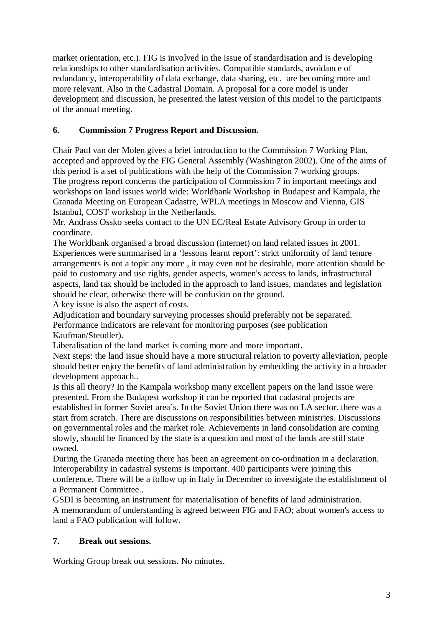market orientation, etc.). FIG is involved in the issue of standardisation and is developing relationships to other standardisation activities. Compatible standards, avoidance of redundancy, interoperability of data exchange, data sharing, etc. are becoming more and more relevant. Also in the Cadastral Domain. A proposal for a core model is under development and discussion, he presented the latest version of this model to the participants of the annual meeting.

# **6. Commission 7 Progress Report and Discussion.**

Chair Paul van der Molen gives a brief introduction to the Commission 7 Working Plan, accepted and approved by the FIG General Assembly (Washington 2002). One of the aims of this period is a set of publications with the help of the Commission 7 working groups. The progress report concerns the participation of Commission 7 in important meetings and workshops on land issues world wide: Worldbank Workshop in Budapest and Kampala, the Granada Meeting on European Cadastre, WPLA meetings in Moscow and Vienna, GIS Istanbul, COST workshop in the Netherlands.

Mr. Andrass Ossko seeks contact to the UN EC/Real Estate Advisory Group in order to coordinate.

The Worldbank organised a broad discussion (internet) on land related issues in 2001. Experiences were summarised in a 'lessons learnt report': strict uniformity of land tenure arrangements is not a topic any more , it may even not be desirable, more attention should be paid to customary and use rights, gender aspects, women's access to lands, infrastructural aspects, land tax should be included in the approach to land issues, mandates and legislation should be clear, otherwise there will be confusion on the ground.

A key issue is also the aspect of costs.

Adjudication and boundary surveying processes should preferably not be separated. Performance indicators are relevant for monitoring purposes (see publication Kaufman/Steudler).

Liberalisation of the land market is coming more and more important.

Next steps: the land issue should have a more structural relation to poverty alleviation, people should better enjoy the benefits of land administration by embedding the activity in a broader development approach..

Is this all theory? In the Kampala workshop many excellent papers on the land issue were presented. From the Budapest workshop it can be reported that cadastral projects are established in former Soviet area's. In the Soviet Union there was no LA sector, there was a start from scratch. There are discussions on responsibilities between ministries. Discussions on governmental roles and the market role. Achievements in land consolidation are coming slowly, should be financed by the state is a question and most of the lands are still state owned.

During the Granada meeting there has been an agreement on co-ordination in a declaration. Interoperability in cadastral systems is important. 400 participants were joining this conference. There will be a follow up in Italy in December to investigate the establishment of a Permanent Committee..

GSDI is becoming an instrument for materialisation of benefits of land administration. A memorandum of understanding is agreed between FIG and FAO; about women's access to land a FAO publication will follow.

## **7. Break out sessions.**

Working Group break out sessions. No minutes.